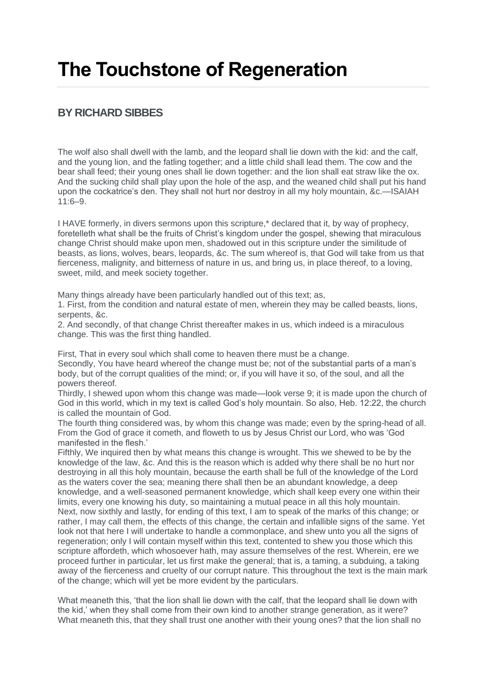# **The Touchstone of Regeneration**

# **BY RICHARD SIBBES**

The wolf also shall dwell with the lamb, and the leopard shall lie down with the kid: and the calf, and the young lion, and the fatling together; and a little child shall lead them. The cow and the bear shall feed; their young ones shall lie down together: and the lion shall eat straw like the ox. And the sucking child shall play upon the hole of the asp, and the weaned child shall put his hand upon the cockatrice's den. They shall not hurt nor destroy in all my holy mountain, &c.—ISAIAH 11:6–9.

I HAVE formerly, in divers sermons upon this scripture,\* declared that it, by way of prophecy, foretelleth what shall be the fruits of Christ's kingdom under the gospel, shewing that miraculous change Christ should make upon men, shadowed out in this scripture under the similitude of beasts, as lions, wolves, bears, leopards, &c. The sum whereof is, that God will take from us that fierceness, malignity, and bitterness of nature in us, and bring us, in place thereof, to a loving, sweet, mild, and meek society together.

Many things already have been particularly handled out of this text; as,

1. First, from the condition and natural estate of men, wherein they may be called beasts, lions, serpents, &c.

2. And secondly, of that change Christ thereafter makes in us, which indeed is a miraculous change. This was the first thing handled.

First, That in every soul which shall come to heaven there must be a change.

Secondly, You have heard whereof the change must be; not of the substantial parts of a man's body, but of the corrupt qualities of the mind; or, if you will have it so, of the soul, and all the powers thereof.

Thirdly, I shewed upon whom this change was made—look verse 9; it is made upon the church of God in this world, which in my text is called God's holy mountain. So also, Heb. 12:22, the church is called the mountain of God.

The fourth thing considered was, by whom this change was made; even by the spring-head of all. From the God of grace it cometh, and floweth to us by Jesus Christ our Lord, who was 'God manifested in the flesh.'

Fifthly, We inquired then by what means this change is wrought. This we shewed to be by the knowledge of the law, &c. And this is the reason which is added why there shall be no hurt nor destroying in all this holy mountain, because the earth shall be full of the knowledge of the Lord as the waters cover the sea; meaning there shall then be an abundant knowledge, a deep knowledge, and a well-seasoned permanent knowledge, which shall keep every one within their limits, every one knowing his duty, so maintaining a mutual peace in all this holy mountain. Next, now sixthly and lastly, for ending of this text, I am to speak of the marks of this change; or rather, I may call them, the effects of this change, the certain and infallible signs of the same. Yet look not that here I will undertake to handle a commonplace, and shew unto you all the signs of regeneration; only I will contain myself within this text, contented to shew you those which this scripture affordeth, which whosoever hath, may assure themselves of the rest. Wherein, ere we proceed further in particular, let us first make the general; that is, a taming, a subduing, a taking away of the fierceness and cruelty of our corrupt nature. This throughout the text is the main mark of the change; which will yet be more evident by the particulars.

What meaneth this, 'that the lion shall lie down with the calf, that the leopard shall lie down with the kid,' when they shall come from their own kind to another strange generation, as it were? What meaneth this, that they shall trust one another with their young ones? that the lion shall no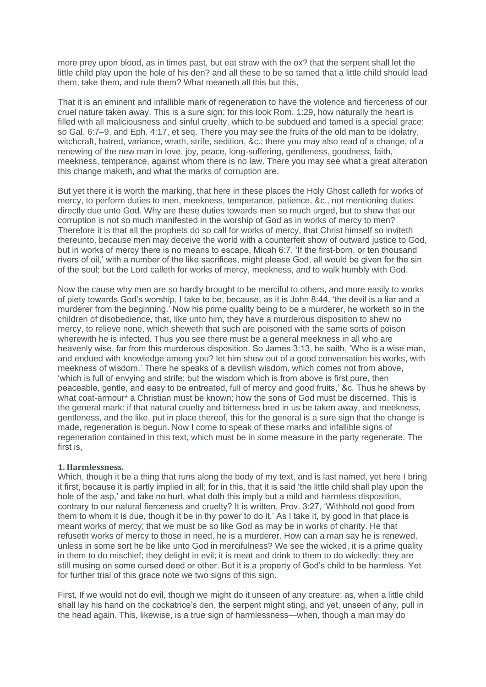more prey upon blood, as in times past, but eat straw with the ox? that the serpent shall let the little child play upon the hole of his den? and all these to be so tamed that a little child should lead them, take them, and rule them? What meaneth all this but this,

That it is an eminent and infallible mark of regeneration to have the violence and fierceness of our cruel nature taken away. This is a sure sign; for this look Rom. 1:29, how naturally the heart is filled with all maliciousness and sinful cruelty, which to be subdued and tamed is a special grace; so Gal. 6:7–9, and Eph. 4:17, et seq. There you may see the fruits of the old man to be idolatry, witchcraft, hatred, variance, wrath, strife, sedition, &c.; there you may also read of a change, of a renewing of the new man in love, joy, peace, long-suffering, gentleness, goodness, faith, meekness, temperance, against whom there is no law. There you may see what a great alteration this change maketh, and what the marks of corruption are.

But yet there it is worth the marking, that here in these places the Holy Ghost calleth for works of mercy, to perform duties to men, meekness, temperance, patience, &c., not mentioning duties directly due unto God. Why are these duties towards men so much urged, but to shew that our corruption is not so much manifested in the worship of God as in works of mercy to men? Therefore it is that all the prophets do so call for works of mercy, that Christ himself so inviteth thereunto, because men may deceive the world with a counterfeit show of outward justice to God, but in works of mercy there is no means to escape, Micah 6:7. 'If the first-born, or ten thousand rivers of oil,' with a number of the like sacrifices, might please God, all would be given for the sin of the soul; but the Lord calleth for works of mercy, meekness, and to walk humbly with God.

Now the cause why men are so hardly brought to be merciful to others, and more easily to works of piety towards God's worship, I take to be, because, as it is John 8:44, 'the devil is a liar and a murderer from the beginning.' Now his prime quality being to be a murderer, he worketh so in the children of disobedience, that, like unto him, they have a murderous disposition to shew no mercy, to relieve none, which sheweth that such are poisoned with the same sorts of poison wherewith he is infected. Thus you see there must be a general meekness in all who are heavenly wise, far from this murderous disposition. So James 3:13, he saith, 'Who is a wise man, and endued with knowledge among you? let him shew out of a good conversation his works, with meekness of wisdom.' There he speaks of a devilish wisdom, which comes not from above, 'which is full of envying and strife; but the wisdom which is from above is first pure, then peaceable, gentle, and easy to be entreated, full of mercy and good fruits,' &c. Thus he shews by what coat-armour\* a Christian must be known; how the sons of God must be discerned. This is the general mark: if that natural cruelty and bitterness bred in us be taken away, and meekness, gentleness, and the like, put in place thereof, this for the general is a sure sign that the change is made, regeneration is begun. Now I come to speak of these marks and infallible signs of regeneration contained in this text, which must be in some measure in the party regenerate. The first is,

# **1. Harmlessness.**

Which, though it be a thing that runs along the body of my text, and is last named, yet here I bring it first, because it is partly implied in all; for in this, that it is said 'the little child shall play upon the hole of the asp,' and take no hurt, what doth this imply but a mild and harmless disposition, contrary to our natural fierceness and cruelty? It is written, Prov. 3:27, 'Withhold not good from them to whom it is due, though it be in thy power to do it.' As I take it, by good in that place is meant works of mercy; that we must be so like God as may be in works of charity. He that refuseth works of mercy to those in need, he is a murderer. How can a man say he is renewed, unless in some sort he be like unto God in mercifulness? We see the wicked, it is a prime quality in them to do mischief; they delight in evil; it is meat and drink to them to do wickedly; they are still musing on some cursed deed or other. But it is a property of God's child to be harmless. Yet for further trial of this grace note we two signs of this sign.

First, If we would not do evil, though we might do it unseen of any creature: as, when a little child shall lay his hand on the cockatrice's den, the serpent might sting, and yet, unseen of any, pull in the head again. This, likewise, is a true sign of harmlessness—when, though a man may do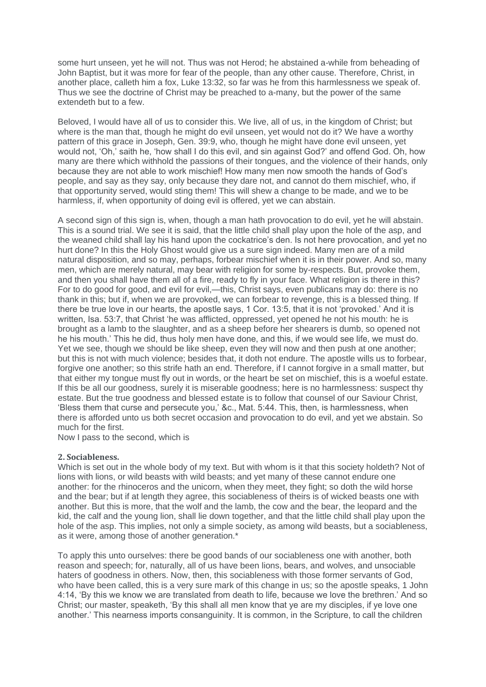some hurt unseen, yet he will not. Thus was not Herod; he abstained a-while from beheading of John Baptist, but it was more for fear of the people, than any other cause. Therefore, Christ, in another place, calleth him a fox, Luke 13:32, so far was he from this harmlessness we speak of. Thus we see the doctrine of Christ may be preached to a-many, but the power of the same extendeth but to a few.

Beloved, I would have all of us to consider this. We live, all of us, in the kingdom of Christ; but where is the man that, though he might do evil unseen, yet would not do it? We have a worthy pattern of this grace in Joseph, Gen. 39:9, who, though he might have done evil unseen, yet would not, 'Oh,' saith he, 'how shall I do this evil, and sin against God?' and offend God. Oh, how many are there which withhold the passions of their tongues, and the violence of their hands, only because they are not able to work mischief! How many men now smooth the hands of God's people, and say as they say, only because they dare not, and cannot do them mischief, who, if that opportunity served, would sting them! This will shew a change to be made, and we to be harmless, if, when opportunity of doing evil is offered, yet we can abstain.

A second sign of this sign is, when, though a man hath provocation to do evil, yet he will abstain. This is a sound trial. We see it is said, that the little child shall play upon the hole of the asp, and the weaned child shall lay his hand upon the cockatrice's den. Is not here provocation, and yet no hurt done? In this the Holy Ghost would give us a sure sign indeed. Many men are of a mild natural disposition, and so may, perhaps, forbear mischief when it is in their power. And so, many men, which are merely natural, may bear with religion for some by-respects. But, provoke them, and then you shall have them all of a fire, ready to fly in your face. What religion is there in this? For to do good for good, and evil for evil,—this, Christ says, even publicans may do: there is no thank in this; but if, when we are provoked, we can forbear to revenge, this is a blessed thing. If there be true love in our hearts, the apostle says, 1 Cor. 13:5, that it is not 'provoked.' And it is written, Isa. 53:7, that Christ 'he was afflicted, oppressed, yet opened he not his mouth: he is brought as a lamb to the slaughter, and as a sheep before her shearers is dumb, so opened not he his mouth.' This he did, thus holy men have done, and this, if we would see life, we must do. Yet we see, though we should be like sheep, even they will now and then push at one another; but this is not with much violence; besides that, it doth not endure. The apostle wills us to forbear, forgive one another; so this strife hath an end. Therefore, if I cannot forgive in a small matter, but that either my tongue must fly out in words, or the heart be set on mischief, this is a woeful estate. If this be all our goodness, surely it is miserable goodness; here is no harmlessness: suspect thy estate. But the true goodness and blessed estate is to follow that counsel of our Saviour Christ, 'Bless them that curse and persecute you,' &c., Mat. 5:44. This, then, is harmlessness, when there is afforded unto us both secret occasion and provocation to do evil, and yet we abstain. So much for the first.

Now I pass to the second, which is

# **2. Sociableness.**

Which is set out in the whole body of my text. But with whom is it that this society holdeth? Not of lions with lions, or wild beasts with wild beasts; and yet many of these cannot endure one another: for the rhinoceros and the unicorn, when they meet, they fight; so doth the wild horse and the bear; but if at length they agree, this sociableness of theirs is of wicked beasts one with another. But this is more, that the wolf and the lamb, the cow and the bear, the leopard and the kid, the calf and the young lion, shall lie down together, and that the little child shall play upon the hole of the asp. This implies, not only a simple society, as among wild beasts, but a sociableness, as it were, among those of another generation.\*

To apply this unto ourselves: there be good bands of our sociableness one with another, both reason and speech; for, naturally, all of us have been lions, bears, and wolves, and unsociable haters of goodness in others. Now, then, this sociableness with those former servants of God, who have been called, this is a very sure mark of this change in us; so the apostle speaks, 1 John 4:14, 'By this we know we are translated from death to life, because we love the brethren.' And so Christ; our master, speaketh, 'By this shall all men know that ye are my disciples, if ye love one another.' This nearness imports consanguinity. It is common, in the Scripture, to call the children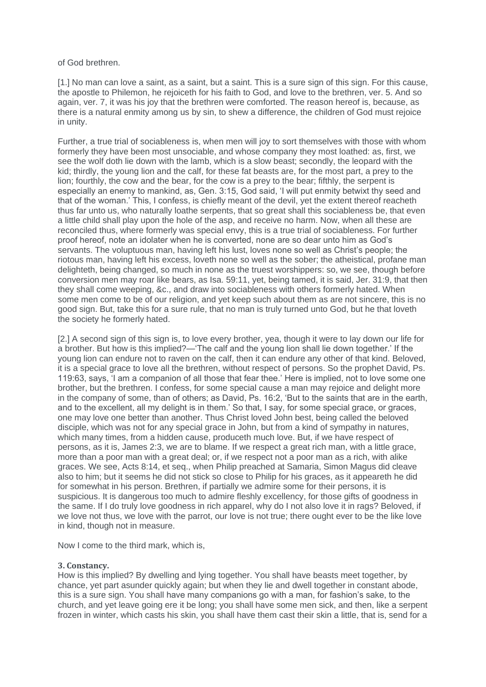of God brethren.

[1.] No man can love a saint, as a saint, but a saint. This is a sure sign of this sign. For this cause, the apostle to Philemon, he rejoiceth for his faith to God, and love to the brethren, ver. 5. And so again, ver. 7, it was his joy that the brethren were comforted. The reason hereof is, because, as there is a natural enmity among us by sin, to shew a difference, the children of God must rejoice in unity.

Further, a true trial of sociableness is, when men will joy to sort themselves with those with whom formerly they have been most unsociable, and whose company they most loathed: as, first, we see the wolf doth lie down with the lamb, which is a slow beast; secondly, the leopard with the kid; thirdly, the young lion and the calf, for these fat beasts are, for the most part, a prey to the lion; fourthly, the cow and the bear, for the cow is a prey to the bear; fifthly, the serpent is especially an enemy to mankind, as, Gen. 3:15, God said, 'I will put enmity betwixt thy seed and that of the woman.' This, I confess, is chiefly meant of the devil, yet the extent thereof reacheth thus far unto us, who naturally loathe serpents, that so great shall this sociableness be, that even a little child shall play upon the hole of the asp, and receive no harm. Now, when all these are reconciled thus, where formerly was special envy, this is a true trial of sociableness. For further proof hereof, note an idolater when he is converted, none are so dear unto him as God's servants. The voluptuous man, having left his lust, loves none so well as Christ's people; the riotous man, having left his excess, loveth none so well as the sober; the atheistical, profane man delighteth, being changed, so much in none as the truest worshippers: so, we see, though before conversion men may roar like bears, as Isa. 59:11, yet, being tamed, it is said, Jer. 31:9, that then they shall come weeping, &c., and draw into sociableness with others formerly hated. When some men come to be of our religion, and yet keep such about them as are not sincere, this is no good sign. But, take this for a sure rule, that no man is truly turned unto God, but he that loveth the society he formerly hated.

[2.] A second sign of this sign is, to love every brother, yea, though it were to lay down our life for a brother. But how is this implied?—'The calf and the young lion shall lie down together.' If the young lion can endure not to raven on the calf, then it can endure any other of that kind. Beloved, it is a special grace to love all the brethren, without respect of persons. So the prophet David, Ps. 119:63, says, 'I am a companion of all those that fear thee.' Here is implied, not to love some one brother, but the brethren. I confess, for some special cause a man may rejoice and delight more in the company of some, than of others; as David, Ps. 16:2, 'But to the saints that are in the earth, and to the excellent, all my delight is in them.' So that, I say, for some special grace, or graces, one may love one better than another. Thus Christ loved John best, being called the beloved disciple, which was not for any special grace in John, but from a kind of sympathy in natures, which many times, from a hidden cause, produceth much love. But, if we have respect of persons, as it is, James 2:3, we are to blame. If we respect a great rich man, with a little grace, more than a poor man with a great deal; or, if we respect not a poor man as a rich, with alike graces. We see, Acts 8:14, et seq., when Philip preached at Samaria, Simon Magus did cleave also to him; but it seems he did not stick so close to Philip for his graces, as it appeareth he did for somewhat in his person. Brethren, if partially we admire some for their persons, it is suspicious. It is dangerous too much to admire fleshly excellency, for those gifts of goodness in the same. If I do truly love goodness in rich apparel, why do I not also love it in rags? Beloved, if we love not thus, we love with the parrot, our love is not true; there ought ever to be the like love in kind, though not in measure.

Now I come to the third mark, which is,

# **3. Constancy.**

How is this implied? By dwelling and lying together. You shall have beasts meet together, by chance, yet part asunder quickly again; but when they lie and dwell together in constant abode, this is a sure sign. You shall have many companions go with a man, for fashion's sake, to the church, and yet leave going ere it be long; you shall have some men sick, and then, like a serpent frozen in winter, which casts his skin, you shall have them cast their skin a little, that is, send for a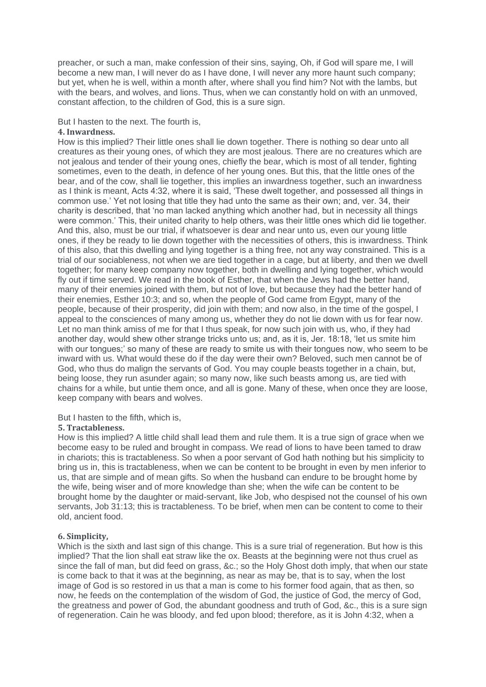preacher, or such a man, make confession of their sins, saying, Oh, if God will spare me, I will become a new man, I will never do as I have done, I will never any more haunt such company; but yet, when he is well, within a month after, where shall you find him? Not with the lambs, but with the bears, and wolves, and lions. Thus, when we can constantly hold on with an unmoved, constant affection, to the children of God, this is a sure sign.

#### But I hasten to the next. The fourth is,

# **4. Inwardness.**

How is this implied? Their little ones shall lie down together. There is nothing so dear unto all creatures as their young ones, of which they are most jealous. There are no creatures which are not jealous and tender of their young ones, chiefly the bear, which is most of all tender, fighting sometimes, even to the death, in defence of her young ones. But this, that the little ones of the bear, and of the cow, shall lie together, this implies an inwardness together, such an inwardness as I think is meant, Acts 4:32, where it is said, 'These dwelt together, and possessed all things in common use.' Yet not losing that title they had unto the same as their own; and, ver. 34, their charity is described, that 'no man lacked anything which another had, but in necessity all things were common.' This, their united charity to help others, was their little ones which did lie together. And this, also, must be our trial, if whatsoever is dear and near unto us, even our young little ones, if they be ready to lie down together with the necessities of others, this is inwardness. Think of this also, that this dwelling and lying together is a thing free, not any way constrained. This is a trial of our sociableness, not when we are tied together in a cage, but at liberty, and then we dwell together; for many keep company now together, both in dwelling and lying together, which would fly out if time served. We read in the book of Esther, that when the Jews had the better hand, many of their enemies joined with them, but not of love, but because they had the better hand of their enemies, Esther 10:3; and so, when the people of God came from Egypt, many of the people, because of their prosperity, did join with them; and now also, in the time of the gospel, I appeal to the consciences of many among us, whether they do not lie down with us for fear now. Let no man think amiss of me for that I thus speak, for now such join with us, who, if they had another day, would shew other strange tricks unto us; and, as it is, Jer. 18:18, 'let us smite him with our tongues;' so many of these are ready to smite us with their tongues now, who seem to be inward with us. What would these do if the day were their own? Beloved, such men cannot be of God, who thus do malign the servants of God. You may couple beasts together in a chain, but, being loose, they run asunder again; so many now, like such beasts among us, are tied with chains for a while, but untie them once, and all is gone. Many of these, when once they are loose, keep company with bears and wolves.

#### But I hasten to the fifth, which is,

#### **5. Tractableness.**

How is this implied? A little child shall lead them and rule them. It is a true sign of grace when we become easy to be ruled and brought in compass. We read of lions to have been tamed to draw in chariots; this is tractableness. So when a poor servant of God hath nothing but his simplicity to bring us in, this is tractableness, when we can be content to be brought in even by men inferior to us, that are simple and of mean gifts. So when the husband can endure to be brought home by the wife, being wiser and of more knowledge than she; when the wife can be content to be brought home by the daughter or maid-servant, like Job, who despised not the counsel of his own servants, Job 31:13; this is tractableness. To be brief, when men can be content to come to their old, ancient food.

# **6. Simplicity,**

Which is the sixth and last sign of this change. This is a sure trial of regeneration. But how is this implied? That the lion shall eat straw like the ox. Beasts at the beginning were not thus cruel as since the fall of man, but did feed on grass, &c.; so the Holy Ghost doth imply, that when our state is come back to that it was at the beginning, as near as may be, that is to say, when the lost image of God is so restored in us that a man is come to his former food again, that as then, so now, he feeds on the contemplation of the wisdom of God, the justice of God, the mercy of God, the greatness and power of God, the abundant goodness and truth of God, &c., this is a sure sign of regeneration. Cain he was bloody, and fed upon blood; therefore, as it is John 4:32, when a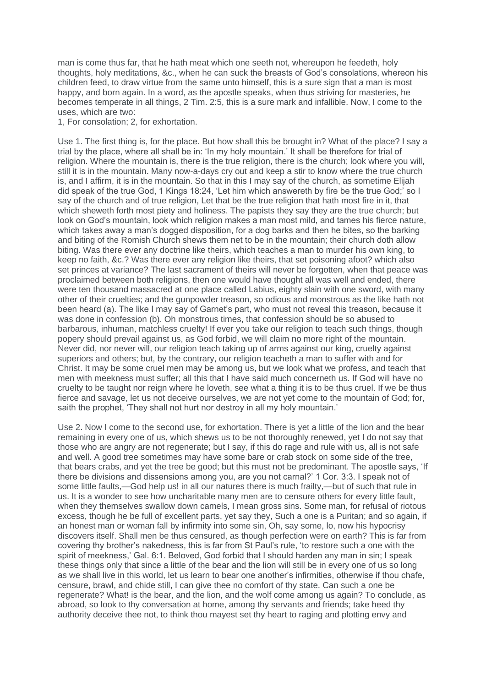man is come thus far, that he hath meat which one seeth not, whereupon he feedeth, holy thoughts, holy meditations, &c., when he can suck the breasts of God's consolations, whereon his children feed, to draw virtue from the same unto himself, this is a sure sign that a man is most happy, and born again. In a word, as the apostle speaks, when thus striving for masteries, he becomes temperate in all things, 2 Tim. 2:5, this is a sure mark and infallible. Now, I come to the uses, which are two:

1, For consolation; 2, for exhortation.

Use 1. The first thing is, for the place. But how shall this be brought in? What of the place? I say a trial by the place, where all shall be in: 'In my holy mountain.' It shall be therefore for trial of religion. Where the mountain is, there is the true religion, there is the church; look where you will, still it is in the mountain. Many now-a-days cry out and keep a stir to know where the true church is, and I affirm, it is in the mountain. So that in this I may say of the church, as sometime Elijah did speak of the true God, 1 Kings 18:24, 'Let him which answereth by fire be the true God;' so I say of the church and of true religion, Let that be the true religion that hath most fire in it, that which sheweth forth most piety and holiness. The papists they say they are the true church; but look on God's mountain, look which religion makes a man most mild, and tames his fierce nature, which takes away a man's dogged disposition, for a dog barks and then he bites, so the barking and biting of the Romish Church shews them net to be in the mountain; their church doth allow biting. Was there ever any doctrine like theirs, which teaches a man to murder his own king, to keep no faith, &c.? Was there ever any religion like theirs, that set poisoning afoot? which also set princes at variance? The last sacrament of theirs will never be forgotten, when that peace was proclaimed between both religions, then one would have thought all was well and ended, there were ten thousand massacred at one place called Labius, eighty slain with one sword, with many other of their cruelties; and the gunpowder treason, so odious and monstrous as the like hath not been heard (a). The like I may say of Garnet's part, who must not reveal this treason, because it was done in confession (b). Oh monstrous times, that confession should be so abused to barbarous, inhuman, matchless cruelty! If ever you take our religion to teach such things, though popery should prevail against us, as God forbid, we will claim no more right of the mountain. Never did, nor never will, our religion teach taking up of arms against our king, cruelty against superiors and others; but, by the contrary, our religion teacheth a man to suffer with and for Christ. It may be some cruel men may be among us, but we look what we profess, and teach that men with meekness must suffer; all this that I have said much concerneth us. If God will have no cruelty to be taught nor reign where he loveth, see what a thing it is to be thus cruel. If we be thus fierce and savage, let us not deceive ourselves, we are not yet come to the mountain of God; for, saith the prophet, 'They shall not hurt nor destroy in all my holy mountain.'

Use 2. Now I come to the second use, for exhortation. There is yet a little of the lion and the bear remaining in every one of us, which shews us to be not thoroughly renewed, yet I do not say that those who are angry are not regenerate; but I say, if this do rage and rule with us, all is not safe and well. A good tree sometimes may have some bare or crab stock on some side of the tree, that bears crabs, and yet the tree be good; but this must not be predominant. The apostle says, 'If there be divisions and dissensions among you, are you not carnal?' 1 Cor. 3:3. I speak not of some little faults,—God help us! in all our natures there is much frailty,—but of such that rule in us. It is a wonder to see how uncharitable many men are to censure others for every little fault, when they themselves swallow down camels, I mean gross sins. Some man, for refusal of riotous excess, though he be full of excellent parts, yet say they, Such a one is a Puritan; and so again, if an honest man or woman fall by infirmity into some sin, Oh, say some, lo, now his hypocrisy discovers itself. Shall men be thus censured, as though perfection were on earth? This is far from covering thy brother's nakedness, this is far from St Paul's rule, 'to restore such a one with the spirit of meekness,' Gal. 6:1. Beloved, God forbid that I should harden any man in sin; I speak these things only that since a little of the bear and the lion will still be in every one of us so long as we shall live in this world, let us learn to bear one another's infirmities, otherwise if thou chafe, censure, brawl, and chide still, I can give thee no comfort of thy state. Can such a one be regenerate? What! is the bear, and the lion, and the wolf come among us again? To conclude, as abroad, so look to thy conversation at home, among thy servants and friends; take heed thy authority deceive thee not, to think thou mayest set thy heart to raging and plotting envy and